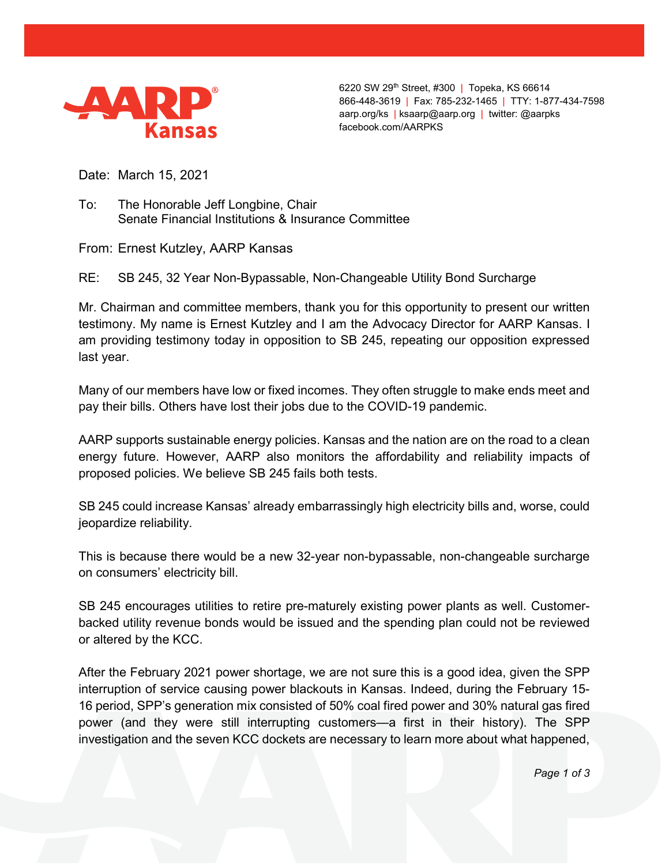

6220 SW 29th Street, #300 | Topeka, KS 66614 866-448-3619 | Fax: 785-232-1465 | TTY: 1-877-434-7598 aarp.org/ks | ksaarp@aarp.org | twitter: @aarpks facebook.com/AARPKS

Date: March 15, 2021

To: The Honorable Jeff Longbine, Chair Senate Financial Institutions & Insurance Committee

From: Ernest Kutzley, AARP Kansas

RE: SB 245, 32 Year Non-Bypassable, Non-Changeable Utility Bond Surcharge

Mr. Chairman and committee members, thank you for this opportunity to present our written testimony. My name is Ernest Kutzley and I am the Advocacy Director for AARP Kansas. I am providing testimony today in opposition to SB 245, repeating our opposition expressed last year.

Many of our members have low or fixed incomes. They often struggle to make ends meet and pay their bills. Others have lost their jobs due to the COVID-19 pandemic.

AARP supports sustainable energy policies. Kansas and the nation are on the road to a clean energy future. However, AARP also monitors the affordability and reliability impacts of proposed policies. We believe SB 245 fails both tests.

SB 245 could increase Kansas' already embarrassingly high electricity bills and, worse, could jeopardize reliability.

This is because there would be a new 32-year non-bypassable, non-changeable surcharge on consumers' electricity bill.

SB 245 encourages utilities to retire pre-maturely existing power plants as well. Customerbacked utility revenue bonds would be issued and the spending plan could not be reviewed or altered by the KCC.

After the February 2021 power shortage, we are not sure this is a good idea, given the SPP interruption of service causing power blackouts in Kansas. Indeed, during the February 15- 16 period, SPP's generation mix consisted of 50% coal fired power and 30% natural gas fired power (and they were still interrupting customers—a first in their history). The SPP investigation and the seven KCC dockets are necessary to learn more about what happened,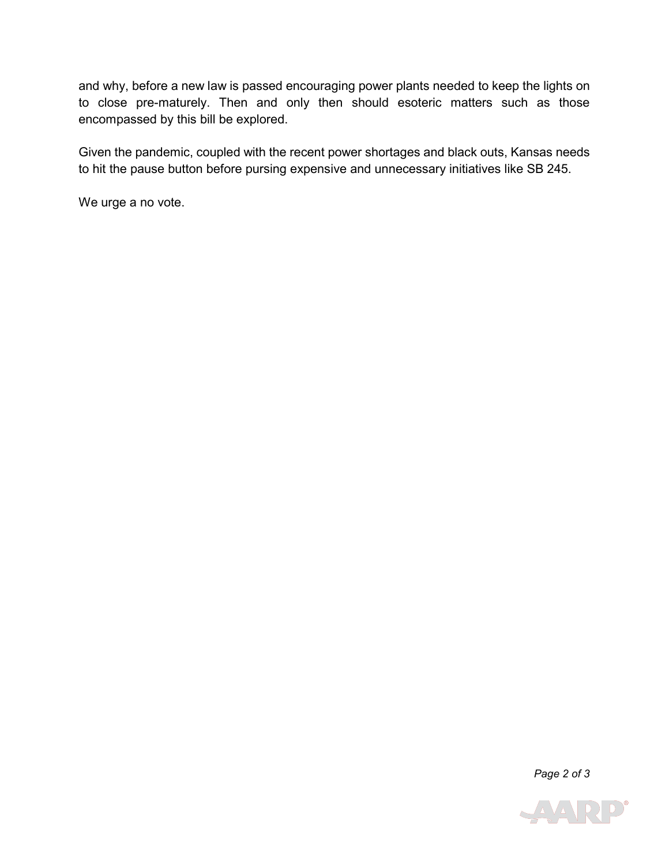and why, before a new law is passed encouraging power plants needed to keep the lights on to close pre-maturely. Then and only then should esoteric matters such as those encompassed by this bill be explored.

Given the pandemic, coupled with the recent power shortages and black outs, Kansas needs to hit the pause button before pursing expensive and unnecessary initiatives like SB 245.

We urge a no vote.

*Page 2 of 3*